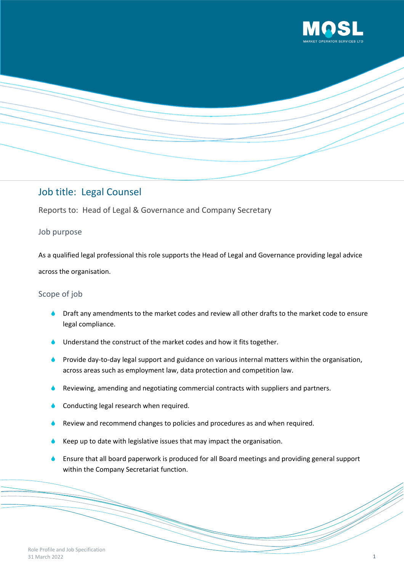



# Job title: Legal Counsel

Reports to: Head of Legal & Governance and Company Secretary

## Job purpose

As a qualified legal professional this role supports the Head of Legal and Governance providing legal advice across the organisation.

## Scope of job

- Draft any amendments to the market codes and review all other drafts to the market code to ensure legal compliance.
- Understand the construct of the market codes and how it fits together.
- Provide day-to-day legal support and guidance on various internal matters within the organisation, across areas such as employment law, data protection and competition law.
- Reviewing, amending and negotiating commercial contracts with suppliers and partners.
- Conducting legal research when required.
- Review and recommend changes to policies and procedures as and when required.
- Keep up to date with legislative issues that may impact the organisation.
- Ensure that all board paperwork is produced for all Board meetings and providing general support within the Company Secretariat function.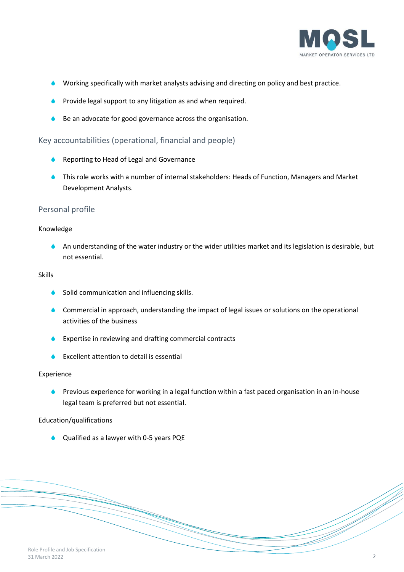

- Working specifically with market analysts advising and directing on policy and best practice.
- Provide legal support to any litigation as and when required.
- Be an advocate for good governance across the organisation.

## Key accountabilities (operational, financial and people)

- **A** Reporting to Head of Legal and Governance
- This role works with a number of internal stakeholders: Heads of Function, Managers and Market Development Analysts.

### Personal profile

#### Knowledge

An understanding of the water industry or the wider utilities market and its legislation is desirable, but not essential.

#### Skills

- Solid communication and influencing skills.
- **Commercial in approach, understanding the impact of legal issues or solutions on the operational** activities of the business
- **Expertise in reviewing and drafting commercial contracts**
- Excellent attention to detail is essential

#### Experience

**C** Previous experience for working in a legal function within a fast paced organisation in an in-house legal team is preferred but not essential.

#### Education/qualifications

Qualified as a lawyer with 0-5 years PQE